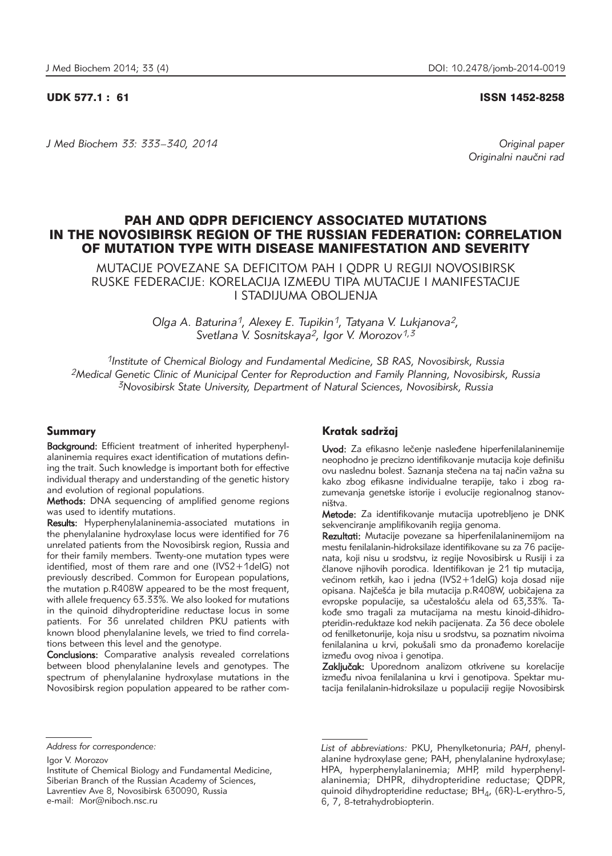## UDK 577.1 : 61 ISSN 1452-8258

*J Med Biochem 33: 333–340, 2014 Original paper*

Originalni naučni rad

# PAH AND QDPR DEFICIENCY ASSOCIATED MUTATIONS IN THE NOVOSIBIRSK REGION OF THE RUSSIAN FEDERATION: CORRELATION OF MUTATION TYPE WITH DISEASE MANIFESTATION AND SEVERITY

MUTACIJE POVEZANE SA DEFICITOM PAH I QDPR U REGIJI NOVOSIBIRSK RUSKE FEDERACIJE: KORELACIJA IZME\U TIPA MUTACIJE I MANIFESTACIJE I STADIJUMA OBOLJENJA

> *Olga A. Baturina1, Alexey E. Tupikin1, Tatyana V. Lukjanova2, Svetlana V. Sosnitskaya2, Igor V. Morozov1,3*

*1Institute of Chemical Biology and Fundamental Medicine, SB RAS, Novosibirsk, Russia 2Medical Genetic Clinic of Municipal Center for Reproduction and Family Planning, Novosibirsk, Russia 3Novosibirsk State University, Department of Natural Sciences, Novosibirsk, Russia*

## Summary

Background: Efficient treatment of inherited hyperphenylalaninemia requires exact identification of mutations defining the trait. Such knowledge is important both for effective individual therapy and understanding of the genetic history and evolution of regional populations.

Methods: DNA sequencing of amplified genome regions was used to identify mutations.

Results: Hyperphenylalaninemia-associated mutations in the phenylalanine hydroxylase locus were identified for 76 unrelated patients from the Novosibirsk region, Russia and for their family members. Twenty-one mutation types were identified, most of them rare and one (IVS2+1delG) not previously described. Common for European populations, the mutation p.R408W appeared to be the most frequent, with allele frequency 63.33%. We also looked for mutations in the quinoid dihydropteridine reductase locus in some patients. For 36 unrelated children PKU patients with known blood phenylalanine levels, we tried to find correlations between this level and the genotype.

Conclusions: Comparative analysis revealed correlations between blood phenylalanine levels and genotypes. The spectrum of phenylalanine hydroxylase mutations in the Novosibirsk region population appeared to be rather com-

# Kratak sadržaj

Uvod: Za efikasno lečenje nasleđene hiperfenilalaninemije neophodno je precizno identifikovanje mutacija koje definišu ovu naslednu bolest. Saznania stečena na taj način važna su kako zbog efikasne individualne terapije, tako i zbog razumevanja genetske istorije i evolucije regionalnog stanovništva

Metode: Za identifikovanje mutacija upotrebljeno je DNK sekvenciranje amplifikovanih regija genoma.

Rezultati: Mutacije povezane sa hiperfenilalaninemijom na mestu fenilalanin-hidroksilaze identifikovane su za 76 pacijenata, koji nisu u srodstvu, iz regije Novosibirsk u Rusiji i za članove njihovih porodica. Identifikovan je 21 tip mutacija, većinom retkih, kao i jedna (IVS2+1delG) koja dosad nije opisana. Najčešća je bila mutacija p.R408W, uobičajena za evropske populacije, sa učestalošću alela od 63,33%. Takođe smo tragali za mutacijama na mestu kinoid-dihidropteridin-reduktaze kod nekih pacijenata. Za 36 dece obolele od fenilketonurije, koja nisu u srodstvu, sa poznatim nivoima fenilalanina u krvi, pokušali smo da pronađemo korelacije između ovog nivoa i genotipa.

Zaključak: Uporednom analizom otkrivene su korelacije između nivoa fenilalanina u krvi i genotipova. Spektar mutacija fenilalanin-hidroksilaze u populaciji regije Novosibirsk

Igor V. Morozov

Institute of Chemical Biology and Fundamental Medicine, Siberian Branch of the Russian Academy of Sciences, Lavrentiev Ave 8, Novosibirsk 630090, Russia e-mail: Mor@niboch.nsc.ru

*Address for correspondence:*

List of abbreviations: PKU, Phenylketonuria; PAH, phenylalanine hydroxylase gene; PAH, phenylalanine hydroxylase; HPA, hyperphenylalaninemia; MHP, mild hyperphenylalaninemia; DHPR, dihydropteridine reductase; QDPR, quinoid dihydropteridine reductase;  $BH<sub>4</sub>$ , (6R)-L-erythro-5, 6, 7, 8-tetrahydrobiopterin.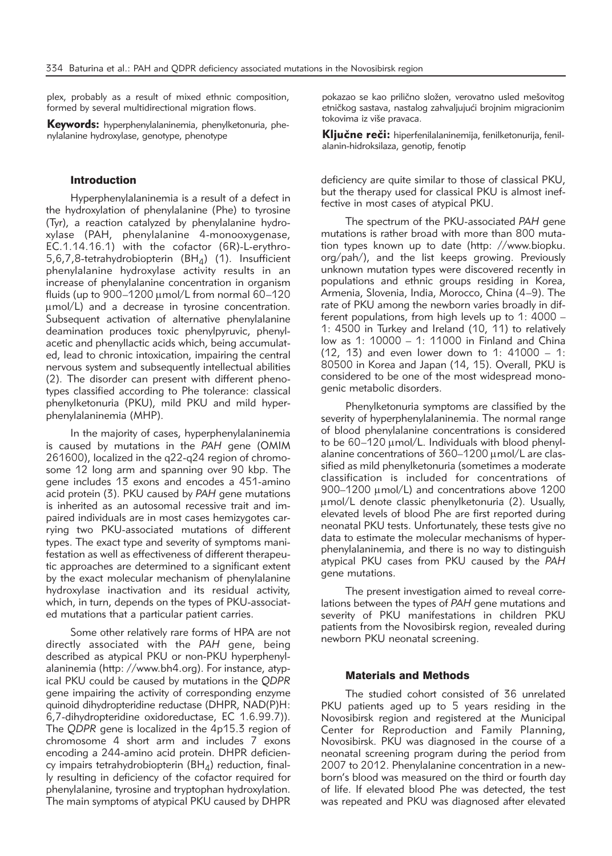plex, probably as a result of mixed ethnic composition, formed by several multidirectional migration flows.

Keywords: hyperphenylalaninemia, phenylketonuria, phenylalanine hydroxylase, genotype, phenotype

### Introduction

Hyperphenylalaninemia is a result of a defect in the hydroxylation of phenylalanine (Phe) to tyrosine (Tyr), a reaction catalyzed by phenylalanine hydroxylase (PAH, phenylalanine 4-monooxygenase, EC.1.14.16.1) with the cofactor (6R)-L-erythro-5,6,7,8-tetrahydrobiopterin  $(BH_A)$  (1). Insufficient phenylalanine hydroxylase activity results in an increase of phenylalanine concentration in organism fluids (up to  $900-1200 \mu$ mol/L from normal  $60-120$ mmol/L) and a decrease in tyrosine concentration. Subsequent activation of alternative phenylalanine deamination produces toxic phenylpyruvic, phenylacetic and phenyllactic acids which, being accumulated, lead to chronic intoxication, impairing the central nervous system and subsequently intellectual abilities (2). The disorder can present with different phenotypes classified according to Phe tolerance: classical phenylketonuria (PKU), mild PKU and mild hyperphenylalaninemia (MHP).

In the majority of cases, hyperphenylalaninemia is caused by mutations in the *PAH* gene (OMIM 261600), localized in the q22-q24 region of chromosome 12 long arm and spanning over 90 kbp. The gene includes 13 exons and encodes a 451-amino acid protein (3). PKU caused by *PAH* gene mutations is inherited as an autosomal recessive trait and impaired individuals are in most cases hemizygotes carrying two PKU-associated mutations of different types. The exact type and severity of symptoms manifestation as well as effectiveness of different therapeutic approaches are determined to a significant extent by the exact molecular mechanism of phenylalanine hydroxylase inactivation and its residual activity, which, in turn, depends on the types of PKU-associated mutations that a particular patient carries.

Some other relatively rare forms of HPA are not directly associated with the *PAH* gene, being described as atypical PKU or non-PKU hyperphenylalaninemia (http: //www.bh4.org). For instance, atypical PKU could be caused by mutations in the *QDPR* gene impairing the activity of corresponding enzyme quinoid dihydropteridine reductase (DHPR, NAD(P)H: 6,7-dihydropteridine oxidoreductase, EC 1.6.99.7)). The *QDPR* gene is localized in the 4p15.3 region of chromosome 4 short arm and includes 7 exons encoding a 244-amino acid protein. DHPR deficiency impairs tetrahydrobiopterin  $(BH_A)$  reduction, finally resulting in deficiency of the cofactor required for phenylalanine, tyrosine and tryptophan hydroxylation. The main symptoms of atypical PKU caused by DHPR

pokazao se kao prilično složen, verovatno usled mešovitog etničkog sastava, nastalog zahvaljujući brojnim migracionim tokovima iz više pravaca.

Kliučne reči: hiperfenilalaninemija, fenilketonurija, fenilalanin-hidroksilaza, genotip, fenotip

deficiency are quite similar to those of classical PKU, but the therapy used for classical PKU is almost ineffective in most cases of atypical PKU.

The spectrum of the PKU-associated *PAH* gene mutations is rather broad with more than 800 mutation types known up to date (http: //www.biopku. org/pah/), and the list keeps growing. Previously unknown mutation types were discovered recently in populations and ethnic groups residing in Korea, Armenia, Slovenia, India, Morocco, China (4–9). The rate of PKU among the newborn varies broadly in different populations, from high levels up to 1: 4000 – 1: 4500 in Turkey and Ireland (10, 11) to relatively low as 1: 10000 – 1: 11000 in Finland and China (12, 13) and even lower down to 1: 41000 – 1: 80500 in Korea and Japan (14, 15). Overall, PKU is considered to be one of the most widespread monogenic metabolic disorders.

Phenylketonuria symptoms are classified by the severity of hyperphenylalaninemia. The normal range of blood phenylalanine concentrations is considered to be  $60-120$   $\mu$ mol/L. Individuals with blood phenylalanine concentrations of 360–1200 µmol/L are classified as mild phenylketonuria (sometimes a moderate classification is included for concentrations of 900–1200  $\mu$ mol/L) and concentrations above 1200 mmol/L denote classic phenylketonuria (2). Usually, elevated levels of blood Phe are first reported during neonatal PKU tests. Unfortunately, these tests give no data to estimate the molecular mechanisms of hyperphenylalaninemia, and there is no way to distinguish atypical PKU cases from PKU caused by the *PAH* gene mutations.

The present investigation aimed to reveal correlations between the types of *PAH* gene mutations and severity of PKU manifestations in children PKU patients from the Novosibirsk region, revealed during newborn PKU neonatal screening.

# Materials and Methods

The studied cohort consisted of 36 unrelated PKU patients aged up to 5 years residing in the Novosibirsk region and registered at the Municipal Center for Reproduction and Family Planning, Novosibirsk. PKU was diagnosed in the course of a neonatal screening program during the period from 2007 to 2012. Phenylalanine concentration in a newborn's blood was measured on the third or fourth day of life. If elevated blood Phe was detected, the test was repeated and PKU was diagnosed after elevated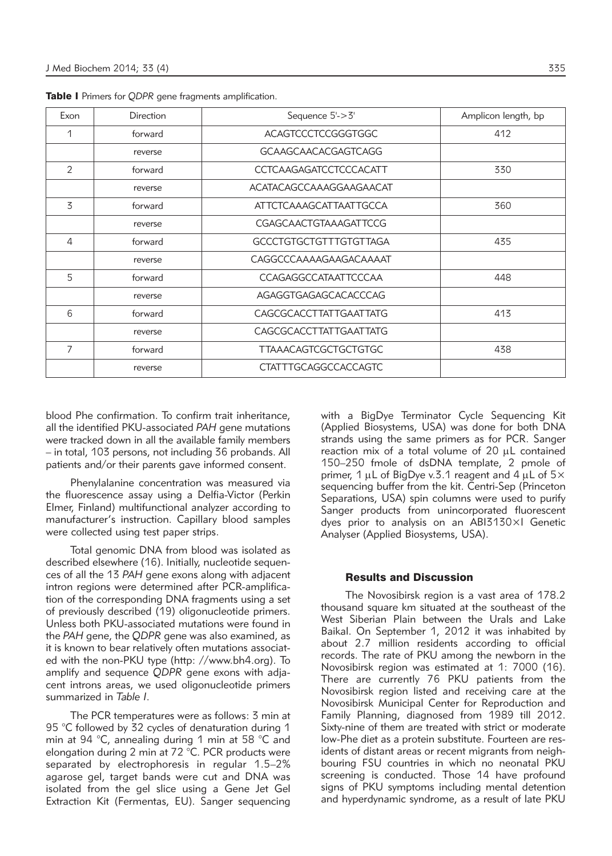| Exon | <b>Direction</b> | Sequence 5'->3'               | Amplicon length, bp |  |
|------|------------------|-------------------------------|---------------------|--|
| 1    | forward          | ACAGTCCCTCCGGGTGGC            | 412                 |  |
|      | reverse          | <b>GCAAGCAACACGAGTCAGG</b>    |                     |  |
| 2    | forward          | <b>CCTCAAGAGATCCTCCCACATT</b> | 330                 |  |
|      | reverse          | ACATACAGCCAAAGGAAGAACAT       |                     |  |
| 3    | forward          | ATTCTCAAAGCATTAATTGCCA        | 360                 |  |
|      | reverse          | <b>CGAGCAACTGTAAAGATTCCG</b>  |                     |  |
| 4    | forward          | <b>GCCCTGTGCTGTTTGTGTTAGA</b> | 435                 |  |
|      | reverse          | CAGGCCCAAAAGAAGACAAAAT        |                     |  |
| 5    | forward          | <b>CCAGAGGCCATAATTCCCAA</b>   | 448                 |  |
|      | reverse          | AGAGGTGAGAGCACACCCAG          |                     |  |
| 6    | forward          | <b>CAGCGCACCTTATTGAATTATG</b> | 413                 |  |
|      | reverse          | <b>CAGCGCACCTTATTGAATTATG</b> |                     |  |
| 7    | forward          | TTAAACAGTCGCTGCTGTGC          | 438                 |  |
|      | reverse          | <b>CTATTTGCAGGCCACCAGTC</b>   |                     |  |

Table I Primers for *QDPR* gene fragments amplification.

blood Phe confirmation. To confirm trait inheritance, all the identified PKU-associated *PAH* gene mutations were tracked down in all the available family members – in total, 103 persons, not including 36 probands. All patients and/or their parents gave informed consent.

Phenylalanine concentration was measured via the fluorescence assay using a Delfia-Victor (Perkin Elmer, Finland) multifunctional analyzer according to manufacturer's instruction. Capillary blood samples were collected using test paper strips.

Total genomic DNA from blood was isolated as described elsewhere (16). Initially, nucleotide sequences of all the 13 *PAH* gene exons along with adjacent intron regions were determined after PCR-amplification of the corresponding DNA fragments using a set of previously described (19) oligonucleotide primers. Unless both PKU-associated mutations were found in the *PAH* gene, the *QDPR* gene was also examined, as it is known to bear relatively often mutations associated with the non-PKU type (http: //www.bh4.org). To amplify and sequence *QDPR* gene exons with adjacent introns areas, we used oligonucleotide primers summarized in *Table I*.

The PCR temperatures were as follows: 3 min at 95 °C followed by 32 cycles of denaturation during 1 min at 94 °C, annealing during 1 min at 58 °C and elongation during 2 min at 72 °C. PCR products were separated by electrophoresis in regular 1.5–2% agarose gel, target bands were cut and DNA was isolated from the gel slice using a Gene Jet Gel Extraction Kit (Fermentas, EU). Sanger sequencing with a BigDye Terminator Cycle Sequencing Kit (Applied Biosystems, USA) was done for both DNA strands using the same primers as for PCR. Sanger reaction mix of a total volume of 20 μL contained<br>150–250 fmole of dsDNA template, 2 pmole of primer, 1  $\mu$ L of BigDye v.3.1 reagent and 4  $\mu$ L of 5 $\times$ sequencing buffer from the kit. Centri-Sep (Princeton Separations, USA) spin columns were used to purify Sanger products from unincorporated fluorescent dyes prior to analysis on an ABI3130×l Genetic Analyser (Applied Biosystems, USA).

# Results and Discussion

The Novosibirsk region is a vast area of 178.2 thousand square km situated at the southeast of the West Siberian Plain between the Urals and Lake Baikal. On September 1, 2012 it was inhabited by about 2.7 million residents according to official records. The rate of PKU among the newborn in the Novosibirsk region was estimated at 1: 7000 (16). There are currently 76 PKU patients from the Novosibirsk region listed and receiving care at the Novosibirsk Municipal Center for Reproduction and Family Planning, diagnosed from 1989 till 2012. Sixty-nine of them are treated with strict or moderate low-Phe diet as a protein substitute. Fourteen are residents of distant areas or recent migrants from neighbouring FSU countries in which no neonatal PKU screening is conducted. Those 14 have profound signs of PKU symptoms including mental detention and hyperdynamic syndrome, as a result of late PKU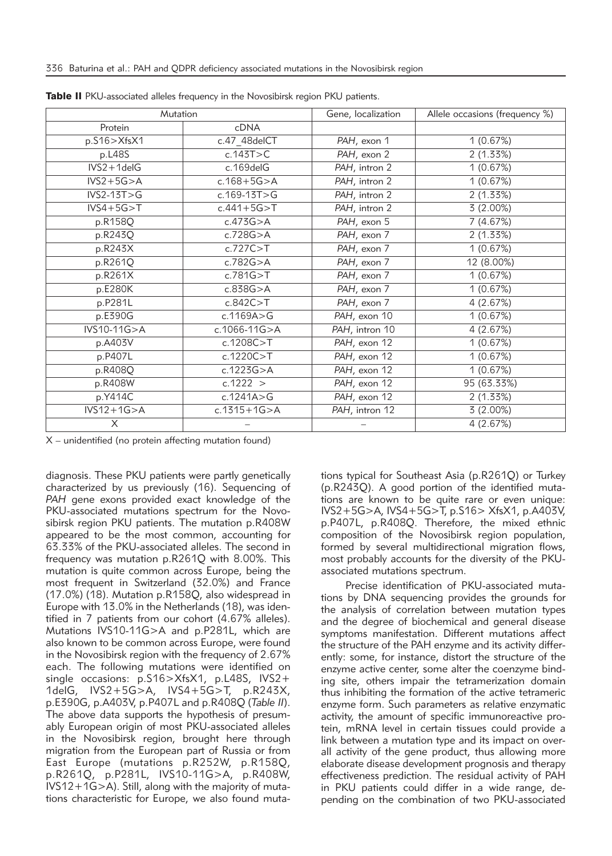| Mutation                          |                   | Gene, localization       | Allele occasions (frequency %) |  |
|-----------------------------------|-------------------|--------------------------|--------------------------------|--|
| Protein                           | cDNA              |                          |                                |  |
| p.S16 > XfsX1                     | c.47 48delCT      |                          | 1(0.67%)                       |  |
| p.L48S                            | c.143T > C        |                          | 2(1.33%)                       |  |
| $IVS2+1$ delG                     | c.169delG         |                          | 1(0.67%)                       |  |
| $IVS2+5G > A$                     | $c.168 + 5G > A$  |                          | 1(0.67%)                       |  |
| $IVS2-13T>G$                      | $c.169-13T > G$   |                          | 2(1.33%)                       |  |
| $c.441 + 5G > T$<br>$IVS4+5G > T$ |                   | PAH, intron 2            | 3(2.00%)                       |  |
| p.R158Q<br>c.473G > A             |                   | PAH, exon 5              | 7(4.67%)                       |  |
| p.R243Q                           | c.728G>A          |                          | 2(1.33%)                       |  |
| p.R243X                           | c.727C > T        | PAH, exon 7              | 1(0.67%)                       |  |
| p.R261Q                           | c.782G>A          | PAH, exon 7              | 12 (8.00%)                     |  |
| p.R261X                           | c.781G > T        | PAH, exon 7              | 1(0.67%)                       |  |
| p.E280K                           | $c.838G$ > A      |                          | 1(0.67%)                       |  |
| p.P281L                           | c.842C > T        | PAH, exon 7              | 4(2.67%)                       |  |
| c.1169A $>$ G<br>p.E390G          |                   | 1(0.67%)<br>PAH, exon 10 |                                |  |
| IVS10-11G>A                       | c.1066-11G>A      | PAH, intron 10           | 4(2.67%)                       |  |
| p.A403V                           | c.1208C > T       | PAH, exon 12             | 1 $(0.67\%)$                   |  |
| p.P407L                           | c.1220C > T       | PAH, exon 12             | 1(0.67%)                       |  |
| p.R408Q                           | c.1223G > A       | PAH, exon 12             | 1(0.67%)                       |  |
| p.R408W                           | c.1222 $>$        | PAH, exon 12             | 95 (63.33%)                    |  |
| p.Y414C                           | c.1241A $>$ G     | PAH, exon 12             | 2(1.33%)                       |  |
| $IVS12+1G>A$                      | $c.1315 + 1G > A$ | PAH, intron 12           | 3(2.00%)                       |  |
| $\times$                          |                   |                          | 4(2.67%)                       |  |

Table II PKU-associated alleles frequency in the Novosibirsk region PKU patients.

X – unidentified (no protein affecting mutation found)

diagnosis. These PKU patients were partly genetically characterized by us previously (16). Sequencing of *PAH* gene exons provided exact knowledge of the PKU-associated mutations spectrum for the Novosibirsk region PKU patients. The mutation p.R408W appeared to be the most common, accounting for 63.33% of the PKU-associated alleles. The second in frequency was mutation p.R261Q with 8.00%. This mutation is quite common across Europe, being the most frequent in Switzerland (32.0%) and France (17.0%) (18). Mutation p.R158Q, also widespread in Europe with 13.0% in the Netherlands (18), was identified in 7 patients from our cohort (4.67% alleles). Mutations IVS10-11G>A and p.P281L, which are also known to be common across Europe, were found in the Novosibirsk region with the frequency of 2.67% each. The following mutations were identified on single occasions: p.S16>XfsX1, p.L48S, IVS2+ 1delG, IVS2+5G>A, IVS4+5G>T, p.R243X, p.E390G, p.A403V, p.P407L and p.R408Q (*Table II*). The above data supports the hypothesis of presumably European origin of most PKU-associated alleles in the Novosibirsk region, brought here through migration from the European part of Russia or from East Europe (mutations p.R252W, p.R158Q, p.R261Q, p.P281L, IVS10-11G>A, p.R408W, IVS12+1G>A). Still, along with the majority of mutations characteristic for Europe, we also found mutations typical for Southeast Asia (p.R261Q) or Turkey (p.R243Q). A good portion of the identified mutations are known to be quite rare or even unique: IVS2+5G>A, IVS4+5G>T, p.S16> XfsX1, p.A403V, p.P407L, p.R408Q. Therefore, the mixed ethnic composition of the Novosibirsk region population, formed by several multidirectional migration flows, most probably accounts for the diversity of the PKUassociated mutations spectrum.

Precise identification of PKU-associated mutations by DNA sequencing provides the grounds for the analysis of correlation between mutation types and the degree of biochemical and general disease symptoms manifestation. Different mutations affect the structure of the PAH enzyme and its activity differently: some, for instance, distort the structure of the enzyme active center, some alter the coenzyme binding site, others impair the tetramerization domain thus inhibiting the formation of the active tetrameric enzyme form. Such parameters as relative enzymatic activity, the amount of specific immunoreactive protein, mRNA level in certain tissues could provide a link between a mutation type and its impact on overall activity of the gene product, thus allowing more elaborate disease development prognosis and therapy effectiveness prediction. The residual activity of PAH in PKU patients could differ in a wide range, depending on the combination of two PKU-associated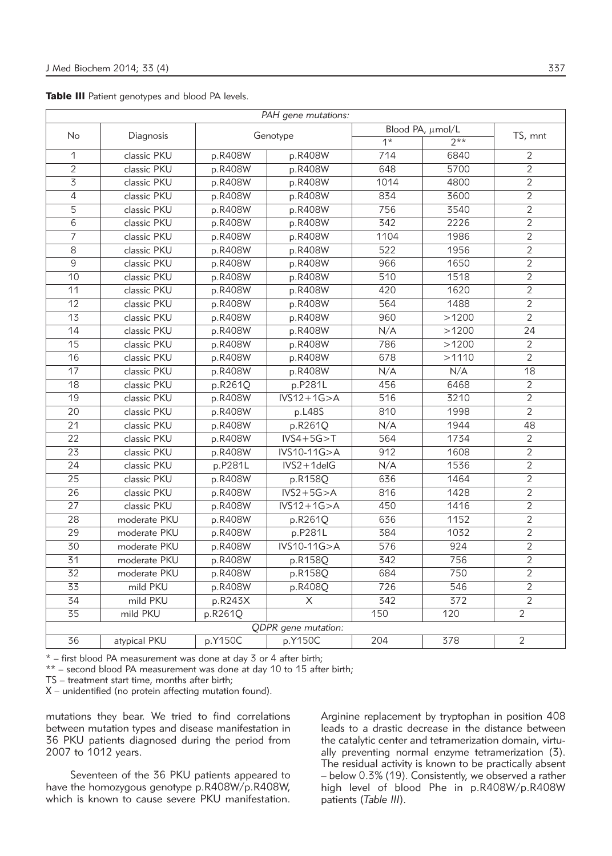Table III Patient genotypes and blood PA levels.

| PAH gene mutations: |              |         |                         |                  |                  |                 |  |  |
|---------------------|--------------|---------|-------------------------|------------------|------------------|-----------------|--|--|
| No                  |              |         |                         | Blood PA, µmol/L |                  |                 |  |  |
|                     | Diagnosis    |         | Genotype                |                  | $7**$            | TS, mnt         |  |  |
| 1                   | classic PKU  | p.R408W | p.R408W                 | 714              | 6840             | $\overline{2}$  |  |  |
| $\overline{2}$      | classic PKU  | p.R408W | p.R408W                 | 648              | 5700             | $\overline{2}$  |  |  |
| $\overline{3}$      | classic PKU  | p.R408W | p.R408W                 | 1014             | 4800             | $\overline{2}$  |  |  |
| $\overline{4}$      | classic PKU  | p.R408W | p.R408W                 | 834              | 3600             | $\overline{2}$  |  |  |
| $\overline{5}$      | classic PKU  | p.R408W | p.R408W                 | 756              | 3540             | $\overline{2}$  |  |  |
| $\overline{6}$      | classic PKU  | p.R408W | p.R408W                 | 342              | 2226             | $\overline{2}$  |  |  |
| $\overline{7}$      | classic PKU  | p.R408W | p.R408W                 | 1104             | 1986             | $\overline{2}$  |  |  |
| $\overline{8}$      | classic PKU  | p.R408W | p.R408W                 | $\overline{522}$ | 1956             | $\overline{2}$  |  |  |
| $\overline{9}$      | classic PKU  | p.R408W | p.R408W                 | 966              | 1650             | $\overline{2}$  |  |  |
| 10                  | classic PKU  | p.R408W | p.R408W                 | 510              | 1518             | $\overline{2}$  |  |  |
| 11                  | classic PKU  | p.R408W | p.R408W                 | 420              | 1620             | $\overline{2}$  |  |  |
| $\overline{12}$     | classic PKU  | p.R408W | p.R408W                 | 564              | 1488             | $\overline{2}$  |  |  |
| $\overline{13}$     | classic PKU  | p.R408W | p.R408W                 | 960              | >1200            | $\overline{2}$  |  |  |
| 14                  | classic PKU  | p.R408W | p.R408W                 | N/A              | >1200            | $\overline{24}$ |  |  |
| $\overline{15}$     | classic PKU  | p.R408W | p.R408W                 | 786              | >1200            | $\overline{2}$  |  |  |
| 16                  | classic PKU  | p.R408W | p.R408W                 | 678              | >1110            | $\overline{2}$  |  |  |
| 17                  | classic PKU  | p.R408W | p.R408W                 | N/A              | N/A              | $\overline{18}$ |  |  |
| $\overline{18}$     | classic PKU  | p.R261Q | p.P281L                 | 456              | 6468             | $\overline{2}$  |  |  |
| 19                  | classic PKU  | p.R408W | $IVS12+1G>A$            | 516              | 3210             | $\overline{2}$  |  |  |
| $\overline{20}$     | classic PKU  | p.R408W | p.L48S                  | 810              | 1998             | $\overline{2}$  |  |  |
| $\overline{21}$     | classic PKU  | p.R408W | p.R261Q                 | N/A              | 1944             | $\overline{48}$ |  |  |
| $\overline{22}$     | classic PKU  | p.R408W | $IVS4+5G>7$             | 564              | 1734             | $\overline{2}$  |  |  |
| $\overline{23}$     | classic PKU  | p.R408W | $IVS10-11G>A$           | 912              | 1608             | $\overline{2}$  |  |  |
| 24                  | classic PKU  | p.P281L | $IVS2+1$ del $G$        | N/A              | 1536             | $\overline{2}$  |  |  |
| $\overline{25}$     | classic PKU  | p.R408W | p.R158Q                 | 636              | 1464             | $\overline{2}$  |  |  |
| $\overline{26}$     | classic PKU  | p.R408W | $IVS2+5G>A$             | 816              | 1428             | $\overline{2}$  |  |  |
| $\overline{27}$     | classic PKU  | p.R408W | $IVS12+1G>A$            | 450              | 1416             | $\overline{2}$  |  |  |
| $\overline{28}$     | moderate PKU | p.R408W | p.R261Q                 | 636              | 1152             | $\overline{2}$  |  |  |
| 29                  | moderate PKU | p.R408W | p.P281L                 | 384              | 1032             | $\overline{2}$  |  |  |
| $\overline{30}$     | moderate PKU | p.R408W | IVS10-11G>A             | 576              | 924              | $\overline{2}$  |  |  |
| 31                  | moderate PKU | p.R408W | p.R158Q                 | 342              | 756              | $\overline{2}$  |  |  |
| $\overline{32}$     | moderate PKU | p.R408W | p.R158Q                 | 684              | 750              | $\overline{2}$  |  |  |
| $\overline{33}$     | mild PKU     | p.R408W | p.R408Q                 | 726              | $\overline{546}$ | $\overline{2}$  |  |  |
| $\overline{34}$     | mild PKU     | p.R243X | $\overline{\mathsf{x}}$ | 342              | $\overline{372}$ | $\overline{2}$  |  |  |
| $\overline{35}$     | mild PKU     | p.R261Q |                         | 150              | 120              | $\overline{2}$  |  |  |
| QDPR gene mutation: |              |         |                         |                  |                  |                 |  |  |
| $\overline{36}$     | atypical PKU | p.Y150C | p.Y150C                 | 204              | $\overline{378}$ | $\overline{2}$  |  |  |

 $*$  – first blood PA measurement was done at day 3 or 4 after birth;

\*\* – second blood PA measurement was done at day 10 to 15 after birth;

TS – treatment start time, months after birth;

Х – unidentified (no protein affecting mutation found).

mutations they bear. We tried to find correlations between mutation types and disease manifestation in 36 PKU patients diagnosed during the period from 2007 to 1012 years.

Seventeen of the 36 PKU patients appeared to have the homozygous genotype p.R408W/p.R408W, which is known to cause severe PKU manifestation.

Arginine replacement by tryptophan in position 408 leads to a drastic decrease in the distance between the catalytic center and tetramerization domain, virtually preventing normal enzyme tetramerization (3). The residual activity is known to be practically absent – below 0.3% (19). Consistently, we observed a rather high level of blood Phe in p.R408W/p.R408W patients (*Table III*).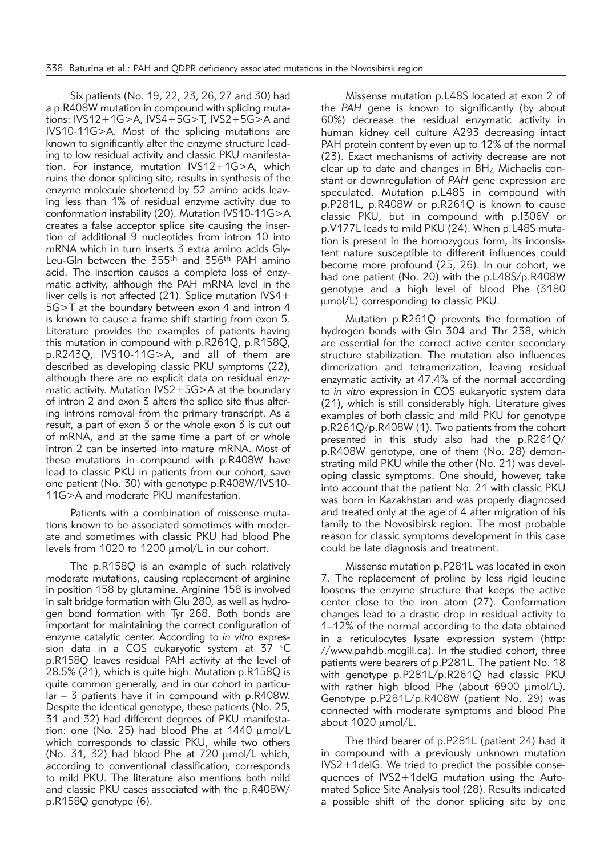Six patients (No. 19, 22, 23, 26, 27 and 30) had a p.R408W mutation in compound with splicing mutations: IVS12+1G>A, IVS4+5G>T, IVS2+5G>A and IVS10-11G>A. Most of the splicing mutations are known to significantly alter the enzyme structure leading to low residual activity and classic PKU manifestation. For instance, mutation IVS12+1G>A, which ruins the donor splicing site, results in synthesis of the enzyme molecule shortened by 52 amino acids leaving less than 1% of residual enzyme activity due to conformation instability (20). Mutation IVS10-11G>A creates a false acceptor splice site causing the insertion of additional 9 nucleotides from intron 10 into mRNA which in turn inserts 3 extra amino acids Gly-Leu-Gln between the 355<sup>th</sup> and 356<sup>th</sup> PAH amino acid. The insertion causes a complete loss of enzymatic activity, although the PAH mRNA level in the liver cells is not affected (21). Splice mutation IVS4+ 5G>T at the boundary between exon 4 and intron 4 is known to cause a frame shift starting from exon 5. Literature provides the examples of patients having this mutation in compound with p.R261Q, p.R158Q, p.R243Q, IVS10-11G>A, and all of them are described as developing classic PKU symptoms (22), although there are no explicit data on residual enzymatic activity. Mutation IVS2+5G>A at the boundary of intron 2 and exon 3 alters the splice site thus altering introns removal from the primary transcript. As a result, a part of exon 3 or the whole exon 3 is cut out of mRNA, and at the same time a part of or whole intron 2 can be inserted into mature mRNA. Most of these mutations in compound with p.R408W have lead to classic PKU in patients from our cohort, save one patient (No. 30) with genotype p.R408W/IVS10- 11G>A and moderate PKU manifestation.

Patients with a combination of missense mutations known to be associated sometimes with moderate and sometimes with classic PKU had blood Phe levels from 1020 to 1200  $\mu$ mol/L in our cohort.

The p.R158Q is an example of such relatively moderate mutations, causing replacement of arginine in position 158 by glutamine. Arginine 158 is involved in salt bridge formation with Glu 280, as well as hydrogen bond formation with Tyr 268. Both bonds are important for maintaining the correct configuration of enzyme catalytic center. According to *in vitro* expression data in a COS eukaryotic system at 37 °C p.R158Q leaves residual PAH activity at the level of 28.5% (21), which is quite high. Mutation p.R158Q is quite common generally, and in our cohort in particular – 3 patients have it in compound with p.R408W. Despite the identical genotype, these patients (No. 25, 31 and 32) had different degrees of PKU manifestation: one (No. 25) had blood Phe at  $1440 \mu$ mol/L which corresponds to classic PKU, while two others (No. 31, 32) had blood Phe at  $720 \mu$  mol/L which, according to conventional classification, corresponds to mild PKU. The literature also mentions both mild and classic PKU cases associated with the p.R408W/ p.R158Q genotype (6).

Missense mutation p.L48S located at exon 2 of the *PAH* gene is known to significantly (by about 60%) decrease the residual enzymatic activity in human kidney cell culture A293 decreasing intact PAH protein content by even up to 12% of the normal (23). Exact mechanisms of activity decrease are not clear up to date and changes in  $BH<sub>4</sub>$  Michaelis constant or downregulation of *PAH* gene expression are speculated. Mutation p.L48S in compound with p.P281L, p.R408W or p.R261Q is known to cause classic PKU, but in compound with p.I306V or p.V177L leads to mild PKU (24). When p.L48S mutation is present in the homozygous form, its inconsistent nature susceptible to different influences could become more profound (25, 26). In our cohort, we had one patient (No. 20) with the p.L48S/p.R408W genotype and a high level of blood Phe (3180 mmol/L) corresponding to classic PKU.

Mutation p.R261Q prevents the formation of hydrogen bonds with Gln 304 and Thr 238, which are essential for the correct active center secondary structure stabilization. The mutation also influences dimerization and tetramerization, leaving residual enzymatic activity at 47.4% of the normal according to *in vitro* expression in COS eukaryotic system data (21), which is still considerably high. Literature gives examples of both classic and mild PKU for genotype p.R261Q/p.R408W (1). Two patients from the cohort presented in this study also had the p.R261Q/ p.R408W genotype, one of them (No. 28) demonstrating mild PKU while the other (No. 21) was developing classic symptoms. One should, however, take into account that the patient No. 21 with classic PKU was born in Kazakhstan and was properly diagnosed and treated only at the age of 4 after migration of his family to the Novosibirsk region. The most probable reason for classic symptoms development in this case could be late diagnosis and treatment.

Missense mutation p.P281L was located in exon 7. The replacement of proline by less rigid leucine loosens the enzyme structure that keeps the active center close to the iron atom (27). Conformation changes lead to a drastic drop in residual activity to 1–12% of the normal according to the data obtained in a reticulocytes lysate expression system (http: //www.pahdb.mcgill.ca). In the studied cohort, three patients were bearers of p.P281L. The patient No. 18 with genotype p.P281L/p.R261Q had classic PKU with rather high blood Phe (about  $6900 \mu$ mol/L). Genotype p.P281L/p.R408W (patient No. 29) was connected with moderate symptoms and blood Phe about  $1020 \mu$ mol/L.

The third bearer of p.P281L (patient 24) had it in compound with a previously unknown mutation IVS2+1delG. We tried to predict the possible consequences of IVS2+1delG mutation using the Automated Splice Site Analysis tool (28). Results indicated a possible shift of the donor splicing site by one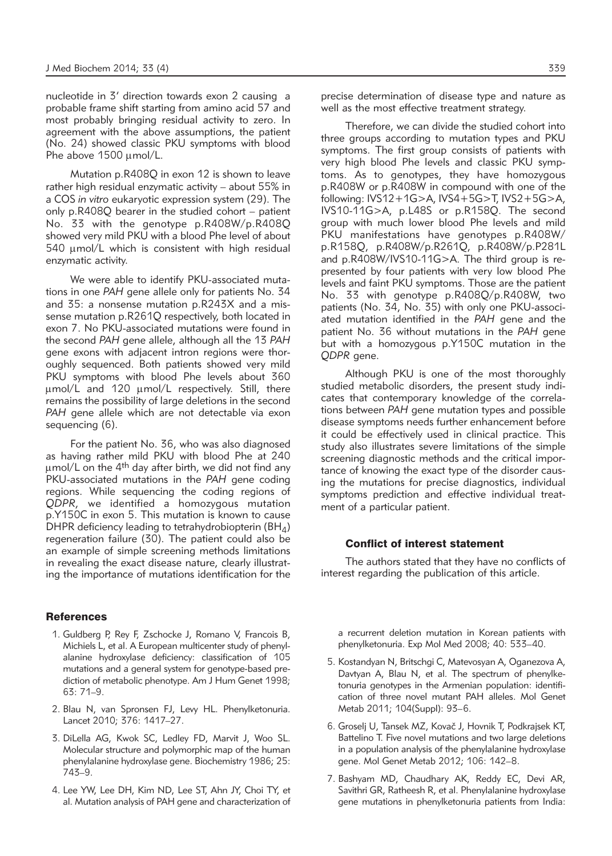nucleotide in 3' direction towards exon 2 causing a probable frame shift starting from amino acid 57 and most probably bringing residual activity to zero. In agreement with the above assumptions, the patient (No. 24) showed classic PKU symptoms with blood Phe above 1500 µmol/L.

Mutation p.R408Q in exon 12 is shown to leave rather high residual enzymatic activity – about 55% in a COS *in vitro* eukaryotic expression system (29). The only p.R408Q bearer in the studied cohort – patient No. 33 with the genotype p.R408W/p.R408Q showed very mild PKU with a blood Phe level of about 540 umol/L which is consistent with high residual enzymatic activity.

We were able to identify PKU-associated mutations in one *PAH* gene allele only for patients No. 34 and 35: a nonsense mutation p.R243X and a missense mutation p.R261Q respectively, both located in exon 7. No PKU-associated mutations were found in the second *PAH* gene allele, although all the 13 *PAH* gene exons with adjacent intron regions were thoroughly sequenced. Both patients showed very mild PKU symptoms with blood Phe levels about 360 umol/L and 120 umol/L respectively. Still, there remains the possibility of large deletions in the second PAH gene allele which are not detectable via exon sequencing (6).

For the patient No. 36, who was also diagnosed as having rather mild PKU with blood Phe at 240  $\mu$ mol/L on the 4<sup>th</sup> day after birth, we did not find any PKU-associated mutations in the *PAH* gene coding regions. While sequencing the coding regions of *QDPR,* we identified a homozygous mutation p.Y150C in exon 5. This mutation is known to cause DHPR deficiency leading to tetrahydrobiopterin  $(BH_A)$ regeneration failure (30). The patient could also be an example of simple screening methods limitations in revealing the exact disease nature, clearly illustrating the importance of mutations identification for the

### **References**

- 1. Guldberg P, Rey F, Zschocke J, Romano V, Francois B, Michiels L, et al. A European multicenter study of phenylalanine hydroxylase deficiency: classification of 105 mutations and a general system for genotype-based prediction of metabolic phenotype. Am J Hum Genet 1998; 63: 71–9.
- 2. Blau N, van Spronsen FJ, Levy HL. Phenylketonuria. Lancet 2010; 376: 1417–27.
- 3. DiLella AG, Kwok SC, Ledley FD, Marvit J, Woo SL. Molecular structure and polymorphic map of the human phenylalanine hydroxylase gene. Biochemistry 1986; 25: 743–9.
- 4. Lee YW, Lee DH, Kim ND, Lee ST, Ahn JY, Choi TY, et al. Mutation analysis of PAH gene and characterization of

precise determination of disease type and nature as well as the most effective treatment strategy.

Therefore, we can divide the studied cohort into three groups according to mutation types and PKU symptoms. The first group consists of patients with very high blood Phe levels and classic PKU symptoms. As to genotypes, they have homozygous p.R408W or p.R408W in compound with one of the following: IVS12+1G>A, IVS4+5G>T, IVS2+5G>A, IVS10-11G>A, p.L48S or p.R158Q. The second group with much lower blood Phe levels and mild PKU manifestations have genotypes p.R408W/ p.R158Q, p.R408W /p.R261Q, p.R408W/p.P281L and p.R408W/IVS10-11G>A. The third group is represented by four patients with very low blood Phe levels and faint PKU symptoms. Those are the patient No. 33 with genotype p.R408Q/p.R408W, two patients (No. 34, No. 35) with only one PKU-associated mutation identified in the *PAH* gene and the patient No. 36 without mutations in the *PAH* gene but with a homozygous p.Y150C mutation in the *QDPR* gene.

Although PKU is one of the most thoroughly studied metabolic disorders, the present study indicates that contemporary knowledge of the correlations between *PAH* gene mutation types and possible disease symptoms needs further enhancement before it could be effectively used in clinical practice. This study also illustrates severe limitations of the simple screening diagnostic methods and the critical importance of knowing the exact type of the disorder causing the mutations for precise diagnostics, individual symptoms prediction and effective individual treatment of a particular patient.

## Conflict of interest statement

The authors stated that they have no conflicts of interest regarding the publication of this article.

a recurrent deletion mutation in Korean patients with phenylketonuria. Exp Mol Med 2008; 40: 533–40.

- 5. Kostandyan N, Britschgi C, Matevosyan A, Oganezova A, Davtyan A, Blau N, et al. The spectrum of phenylketonuria genotypes in the Armenian population: identification of three novel mutant PAH alleles. Mol Genet Metab 2011; 104(Suppl): 93–6.
- 6. Groselj U, Tansek MZ, Kovač J, Hovnik T, Podkrajsek KT, Battelino T. Five novel mutations and two large deletions in a population analysis of the phenylalanine hydroxylase gene. Mol Genet Metab 2012; 106: 142–8.
- 7. Bashyam MD, Chaudhary AK, Reddy EC, Devi AR, Savithri GR, Ratheesh R, et al. Phenylalanine hydroxylase gene mutations in phenylketonuria patients from India: